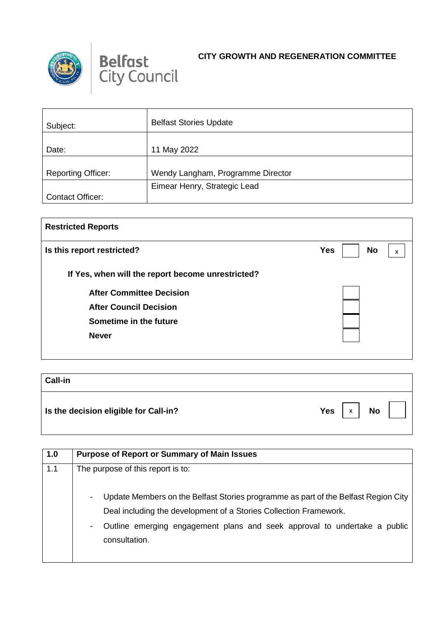



## **CITY GROWTH AND REGENERATION COMMITTEE**

| Subject:                  | <b>Belfast Stories Update</b>     |
|---------------------------|-----------------------------------|
|                           |                                   |
| Date:                     | 11 May 2022                       |
|                           |                                   |
| <b>Reporting Officer:</b> | Wendy Langham, Programme Director |
|                           | Eimear Henry, Strategic Lead      |
| <b>Contact Officer:</b>   |                                   |

| <b>Restricted Reports</b>                         |                              |  |
|---------------------------------------------------|------------------------------|--|
| Is this report restricted?                        | <b>Yes</b><br><b>No</b><br>x |  |
| If Yes, when will the report become unrestricted? |                              |  |
| <b>After Committee Decision</b>                   |                              |  |
| <b>After Council Decision</b>                     |                              |  |
| Sometime in the future                            |                              |  |
| <b>Never</b>                                      |                              |  |
|                                                   |                              |  |

| <b>Call-in</b>                        |                       |
|---------------------------------------|-----------------------|
| Is the decision eligible for Call-in? | <b>No</b><br>Yes<br>X |

| 1.0 | <b>Purpose of Report or Summary of Main Issues</b>                                                                                                                                                                                                    |
|-----|-------------------------------------------------------------------------------------------------------------------------------------------------------------------------------------------------------------------------------------------------------|
| 1.1 | The purpose of this report is to:                                                                                                                                                                                                                     |
|     | Update Members on the Belfast Stories programme as part of the Belfast Region City<br>Deal including the development of a Stories Collection Framework.<br>Outline emerging engagement plans and seek approval to undertake a public<br>consultation. |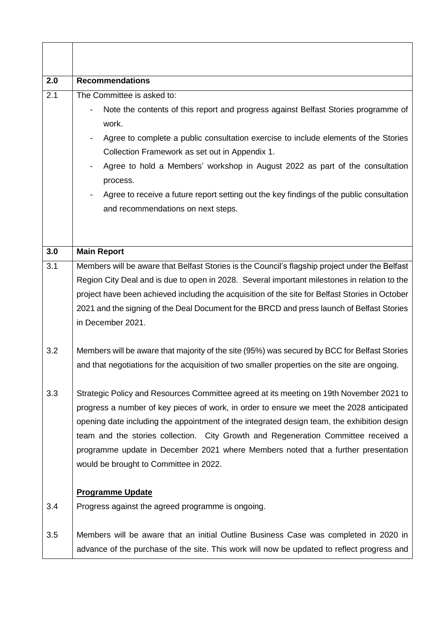| 2.0 | <b>Recommendations</b>                                                                                                                                                                                                                                                                                                                                                                                                                                                                                  |
|-----|---------------------------------------------------------------------------------------------------------------------------------------------------------------------------------------------------------------------------------------------------------------------------------------------------------------------------------------------------------------------------------------------------------------------------------------------------------------------------------------------------------|
| 2.1 | The Committee is asked to:<br>Note the contents of this report and progress against Belfast Stories programme of<br>work.<br>Agree to complete a public consultation exercise to include elements of the Stories<br>Collection Framework as set out in Appendix 1.<br>Agree to hold a Members' workshop in August 2022 as part of the consultation<br>process.<br>Agree to receive a future report setting out the key findings of the public consultation<br>and recommendations on next steps.        |
| 3.0 | <b>Main Report</b>                                                                                                                                                                                                                                                                                                                                                                                                                                                                                      |
| 3.1 | Members will be aware that Belfast Stories is the Council's flagship project under the Belfast<br>Region City Deal and is due to open in 2028. Several important milestones in relation to the<br>project have been achieved including the acquisition of the site for Belfast Stories in October<br>2021 and the signing of the Deal Document for the BRCD and press launch of Belfast Stories<br>in December 2021.                                                                                    |
| 3.2 | Members will be aware that majority of the site (95%) was secured by BCC for Belfast Stories<br>and that negotiations for the acquisition of two smaller properties on the site are ongoing.                                                                                                                                                                                                                                                                                                            |
| 3.3 | Strategic Policy and Resources Committee agreed at its meeting on 19th November 2021 to<br>progress a number of key pieces of work, in order to ensure we meet the 2028 anticipated<br>opening date including the appointment of the integrated design team, the exhibition design<br>team and the stories collection. City Growth and Regeneration Committee received a<br>programme update in December 2021 where Members noted that a further presentation<br>would be brought to Committee in 2022. |
| 3.4 | <b>Programme Update</b><br>Progress against the agreed programme is ongoing.                                                                                                                                                                                                                                                                                                                                                                                                                            |
| 3.5 | Members will be aware that an initial Outline Business Case was completed in 2020 in<br>advance of the purchase of the site. This work will now be updated to reflect progress and                                                                                                                                                                                                                                                                                                                      |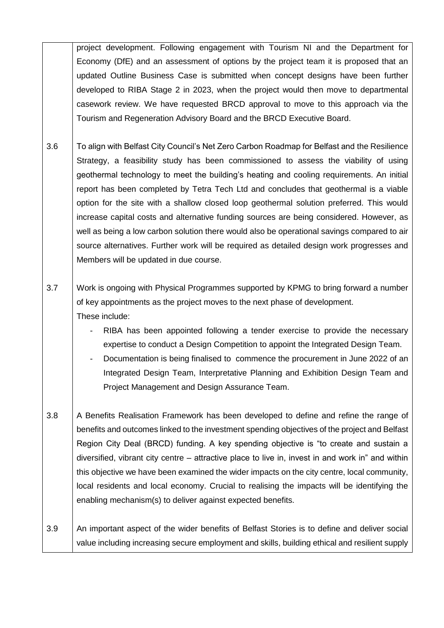project development. Following engagement with Tourism NI and the Department for Economy (DfE) and an assessment of options by the project team it is proposed that an updated Outline Business Case is submitted when concept designs have been further developed to RIBA Stage 2 in 2023, when the project would then move to departmental casework review. We have requested BRCD approval to move to this approach via the Tourism and Regeneration Advisory Board and the BRCD Executive Board.

- 3.6 To align with Belfast City Council's Net Zero Carbon Roadmap for Belfast and the Resilience Strategy, a feasibility study has been commissioned to assess the viability of using geothermal technology to meet the building's heating and cooling requirements. An initial report has been completed by Tetra Tech Ltd and concludes that geothermal is a viable option for the site with a shallow closed loop geothermal solution preferred. This would increase capital costs and alternative funding sources are being considered. However, as well as being a low carbon solution there would also be operational savings compared to air source alternatives. Further work will be required as detailed design work progresses and Members will be updated in due course.
- 3.7 Work is ongoing with Physical Programmes supported by KPMG to bring forward a number of key appointments as the project moves to the next phase of development. These include:
	- RIBA has been appointed following a tender exercise to provide the necessary expertise to conduct a Design Competition to appoint the Integrated Design Team.
	- Documentation is being finalised to commence the procurement in June 2022 of an Integrated Design Team, Interpretative Planning and Exhibition Design Team and Project Management and Design Assurance Team.
- 3.8 A Benefits Realisation Framework has been developed to define and refine the range of benefits and outcomes linked to the investment spending objectives of the project and Belfast Region City Deal (BRCD) funding. A key spending objective is "to create and sustain a diversified, vibrant city centre – attractive place to live in, invest in and work in" and within this objective we have been examined the wider impacts on the city centre, local community, local residents and local economy. Crucial to realising the impacts will be identifying the enabling mechanism(s) to deliver against expected benefits.
- 3.9 An important aspect of the wider benefits of Belfast Stories is to define and deliver social value including increasing secure employment and skills, building ethical and resilient supply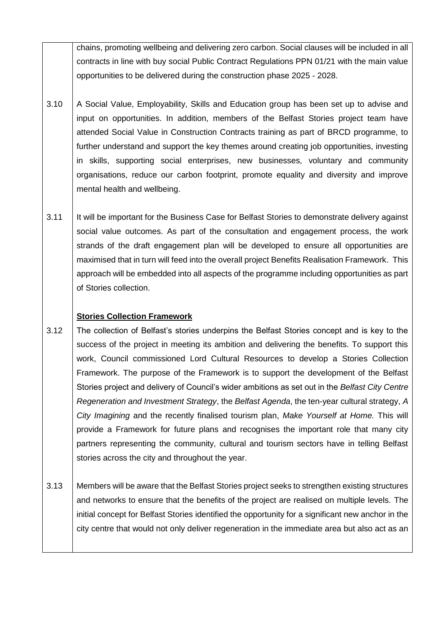chains, promoting wellbeing and delivering zero carbon. Social clauses will be included in all contracts in line with buy social Public Contract Regulations PPN 01/21 with the main value opportunities to be delivered during the construction phase 2025 - 2028.

- 3.10 A Social Value, Employability, Skills and Education group has been set up to advise and input on opportunities. In addition, members of the Belfast Stories project team have attended Social Value in Construction Contracts training as part of BRCD programme, to further understand and support the key themes around creating job opportunities, investing in skills, supporting social enterprises, new businesses, voluntary and community organisations, reduce our carbon footprint, promote equality and diversity and improve mental health and wellbeing.
- 3.11 It will be important for the Business Case for Belfast Stories to demonstrate delivery against social value outcomes. As part of the consultation and engagement process, the work strands of the draft engagement plan will be developed to ensure all opportunities are maximised that in turn will feed into the overall project Benefits Realisation Framework. This approach will be embedded into all aspects of the programme including opportunities as part of Stories collection.

## **Stories Collection Framework**

- 3.12 The collection of Belfast's stories underpins the Belfast Stories concept and is key to the success of the project in meeting its ambition and delivering the benefits. To support this work, Council commissioned Lord Cultural Resources to develop a Stories Collection Framework. The purpose of the Framework is to support the development of the Belfast Stories project and delivery of Council's wider ambitions as set out in the *Belfast City Centre Regeneration and Investment Strategy*, the *Belfast Agenda*, the ten-year cultural strategy, *A City Imagining* and the recently finalised tourism plan, *Make Yourself at Home.* This will provide a Framework for future plans and recognises the important role that many city partners representing the community, cultural and tourism sectors have in telling Belfast stories across the city and throughout the year.
- 3.13 Members will be aware that the Belfast Stories project seeks to strengthen existing structures and networks to ensure that the benefits of the project are realised on multiple levels. The initial concept for Belfast Stories identified the opportunity for a significant new anchor in the city centre that would not only deliver regeneration in the immediate area but also act as an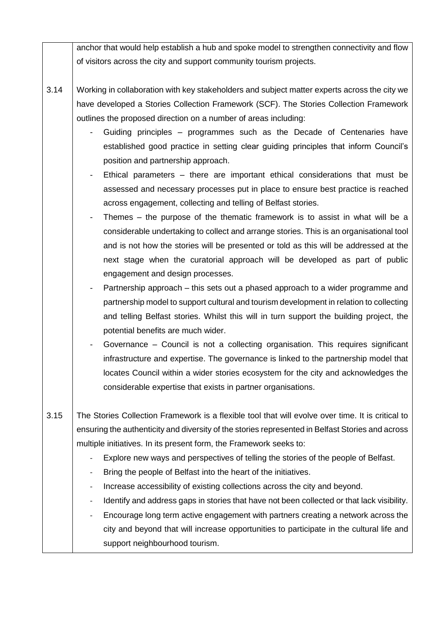anchor that would help establish a hub and spoke model to strengthen connectivity and flow of visitors across the city and support community tourism projects.

- 3.14 Working in collaboration with key stakeholders and subject matter experts across the city we have developed a Stories Collection Framework (SCF). The Stories Collection Framework outlines the proposed direction on a number of areas including:
	- Guiding principles programmes such as the Decade of Centenaries have established good practice in setting clear guiding principles that inform Council's position and partnership approach.
	- Ethical parameters  $-$  there are important ethical considerations that must be assessed and necessary processes put in place to ensure best practice is reached across engagement, collecting and telling of Belfast stories.
	- Themes  $-$  the purpose of the thematic framework is to assist in what will be a considerable undertaking to collect and arrange stories. This is an organisational tool and is not how the stories will be presented or told as this will be addressed at the next stage when the curatorial approach will be developed as part of public engagement and design processes.
	- Partnership approach this sets out a phased approach to a wider programme and partnership model to support cultural and tourism development in relation to collecting and telling Belfast stories. Whilst this will in turn support the building project, the potential benefits are much wider.
	- Governance Council is not a collecting organisation. This requires significant infrastructure and expertise. The governance is linked to the partnership model that locates Council within a wider stories ecosystem for the city and acknowledges the considerable expertise that exists in partner organisations.
- 3.15 The Stories Collection Framework is a flexible tool that will evolve over time. It is critical to ensuring the authenticity and diversity of the stories represented in Belfast Stories and across multiple initiatives. In its present form, the Framework seeks to:
	- Explore new ways and perspectives of telling the stories of the people of Belfast.
	- Bring the people of Belfast into the heart of the initiatives.
	- Increase accessibility of existing collections across the city and beyond.
	- Identify and address gaps in stories that have not been collected or that lack visibility.
	- Encourage long term active engagement with partners creating a network across the city and beyond that will increase opportunities to participate in the cultural life and support neighbourhood tourism.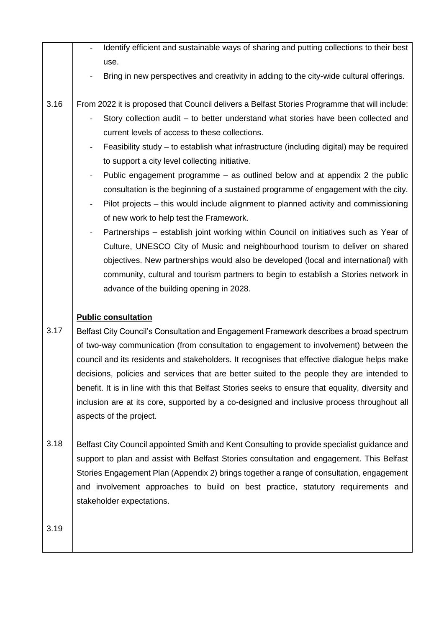|      | Identify efficient and sustainable ways of sharing and putting collections to their best                        |
|------|-----------------------------------------------------------------------------------------------------------------|
|      | use.                                                                                                            |
|      | Bring in new perspectives and creativity in adding to the city-wide cultural offerings.                         |
| 3.16 | From 2022 it is proposed that Council delivers a Belfast Stories Programme that will include:                   |
|      | Story collection audit – to better understand what stories have been collected and                              |
|      | current levels of access to these collections.                                                                  |
|      | Feasibility study – to establish what infrastructure (including digital) may be required                        |
|      | to support a city level collecting initiative.                                                                  |
|      | Public engagement programme – as outlined below and at appendix 2 the public<br>$\overline{\phantom{a}}$        |
|      | consultation is the beginning of a sustained programme of engagement with the city.                             |
|      | Pilot projects – this would include alignment to planned activity and commissioning<br>$\overline{\phantom{a}}$ |
|      | of new work to help test the Framework.                                                                         |
|      | Partnerships - establish joint working within Council on initiatives such as Year of                            |
|      | Culture, UNESCO City of Music and neighbourhood tourism to deliver on shared                                    |
|      | objectives. New partnerships would also be developed (local and international) with                             |
|      | community, cultural and tourism partners to begin to establish a Stories network in                             |
|      | advance of the building opening in 2028.                                                                        |
|      | <b>Public consultation</b>                                                                                      |
| 3.17 | Belfast City Council's Consultation and Engagement Framework describes a broad spectrum                         |
|      | of two-way communication (from consultation to engagement to involvement) between the                           |
|      | council and its residents and stakeholders. It recognises that effective dialogue helps make                    |
|      | decisions, policies and services that are better suited to the people they are intended to                      |
|      | benefit. It is in line with this that Belfast Stories seeks to ensure that equality, diversity and              |
|      | inclusion are at its core, supported by a co-designed and inclusive process throughout all                      |
|      | aspects of the project.                                                                                         |
| 3.18 | Belfast City Council appointed Smith and Kent Consulting to provide specialist guidance and                     |
|      | support to plan and assist with Belfast Stories consultation and engagement. This Belfast                       |
|      | Stories Engagement Plan (Appendix 2) brings together a range of consultation, engagement                        |
|      | and involvement approaches to build on best practice, statutory requirements and                                |

3.19

stakeholder expectations.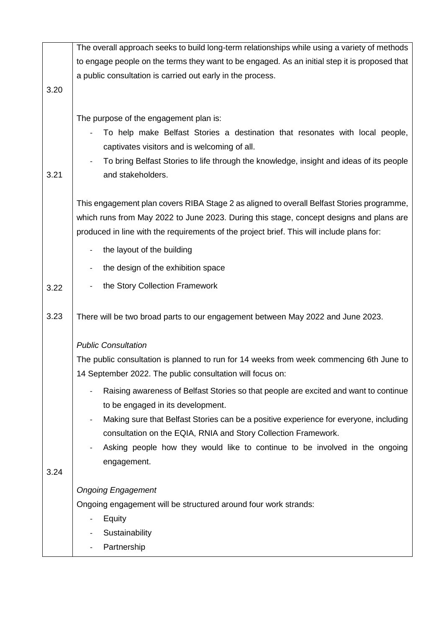|      | The overall approach seeks to build long-term relationships while using a variety of methods                                                                                                                                                                                                                                                                                                                                                                                                                                                                                |
|------|-----------------------------------------------------------------------------------------------------------------------------------------------------------------------------------------------------------------------------------------------------------------------------------------------------------------------------------------------------------------------------------------------------------------------------------------------------------------------------------------------------------------------------------------------------------------------------|
|      | to engage people on the terms they want to be engaged. As an initial step it is proposed that                                                                                                                                                                                                                                                                                                                                                                                                                                                                               |
|      | a public consultation is carried out early in the process.                                                                                                                                                                                                                                                                                                                                                                                                                                                                                                                  |
| 3.20 |                                                                                                                                                                                                                                                                                                                                                                                                                                                                                                                                                                             |
| 3.21 | The purpose of the engagement plan is:<br>To help make Belfast Stories a destination that resonates with local people,<br>captivates visitors and is welcoming of all.<br>To bring Belfast Stories to life through the knowledge, insight and ideas of its people<br>and stakeholders.<br>This engagement plan covers RIBA Stage 2 as aligned to overall Belfast Stories programme,<br>which runs from May 2022 to June 2023. During this stage, concept designs and plans are<br>produced in line with the requirements of the project brief. This will include plans for: |
|      |                                                                                                                                                                                                                                                                                                                                                                                                                                                                                                                                                                             |
|      | the layout of the building                                                                                                                                                                                                                                                                                                                                                                                                                                                                                                                                                  |
|      | the design of the exhibition space                                                                                                                                                                                                                                                                                                                                                                                                                                                                                                                                          |
| 3.22 | the Story Collection Framework                                                                                                                                                                                                                                                                                                                                                                                                                                                                                                                                              |
|      |                                                                                                                                                                                                                                                                                                                                                                                                                                                                                                                                                                             |
| 3.23 | There will be two broad parts to our engagement between May 2022 and June 2023.                                                                                                                                                                                                                                                                                                                                                                                                                                                                                             |
|      |                                                                                                                                                                                                                                                                                                                                                                                                                                                                                                                                                                             |
|      | <b>Public Consultation</b>                                                                                                                                                                                                                                                                                                                                                                                                                                                                                                                                                  |
|      | The public consultation is planned to run for 14 weeks from week commencing 6th June to<br>14 September 2022. The public consultation will focus on:                                                                                                                                                                                                                                                                                                                                                                                                                        |
|      | Raising awareness of Belfast Stories so that people are excited and want to continue<br>to be engaged in its development.                                                                                                                                                                                                                                                                                                                                                                                                                                                   |
|      | Making sure that Belfast Stories can be a positive experience for everyone, including<br>consultation on the EQIA, RNIA and Story Collection Framework.                                                                                                                                                                                                                                                                                                                                                                                                                     |
|      | Asking people how they would like to continue to be involved in the ongoing                                                                                                                                                                                                                                                                                                                                                                                                                                                                                                 |
|      | engagement.                                                                                                                                                                                                                                                                                                                                                                                                                                                                                                                                                                 |
| 3.24 |                                                                                                                                                                                                                                                                                                                                                                                                                                                                                                                                                                             |
|      | <b>Ongoing Engagement</b>                                                                                                                                                                                                                                                                                                                                                                                                                                                                                                                                                   |
|      | Ongoing engagement will be structured around four work strands:                                                                                                                                                                                                                                                                                                                                                                                                                                                                                                             |
|      | Equity                                                                                                                                                                                                                                                                                                                                                                                                                                                                                                                                                                      |
|      | Sustainability                                                                                                                                                                                                                                                                                                                                                                                                                                                                                                                                                              |
|      | Partnership                                                                                                                                                                                                                                                                                                                                                                                                                                                                                                                                                                 |